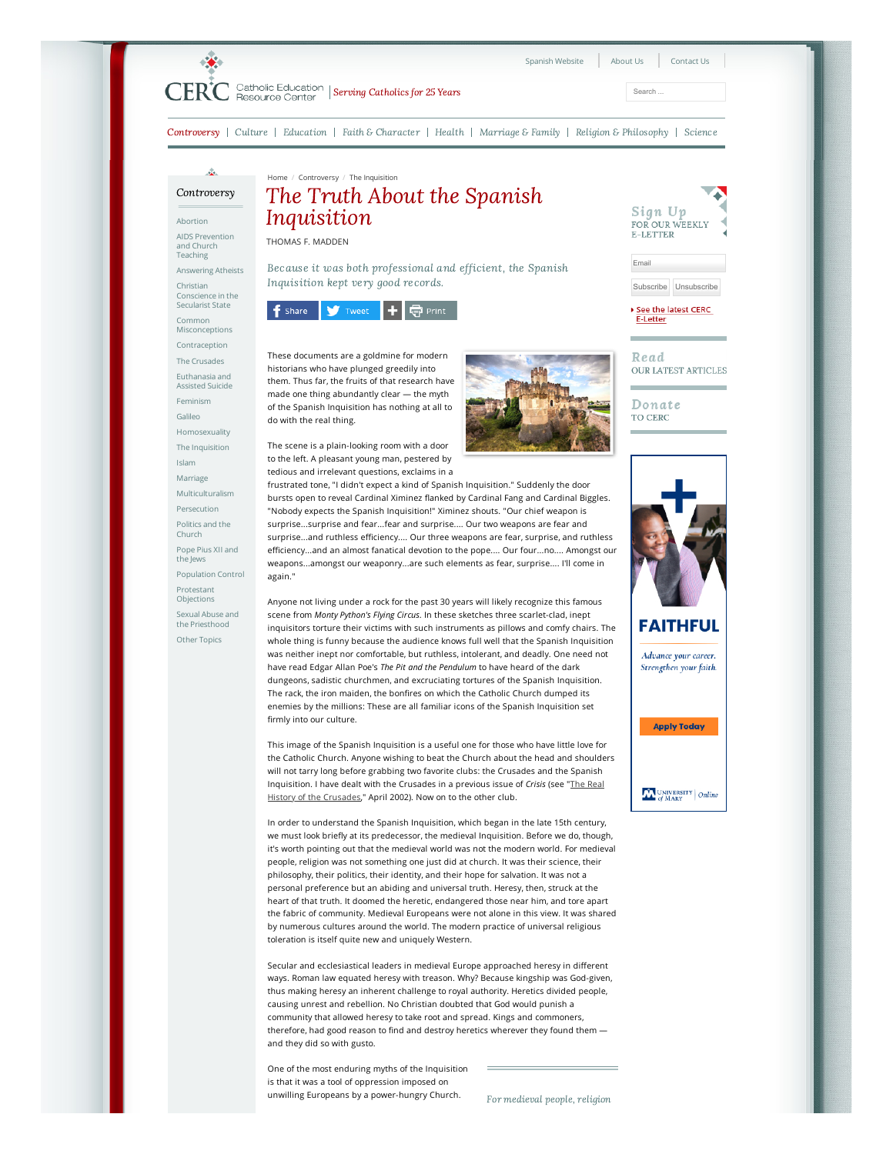## **CER'C** Catholic Education | Serving Catholics for 25 Years Search Search

Spanish [Website](http://www.catholiceducation.org/es/) | [About](https://www.catholiceducation.org/en/center/about-us.html) Us | [Contact](https://www.catholiceducation.org/en/contact-us.html) Us

**[Controversy](https://www.catholiceducation.org/en/controversy/)** | [Culture](https://www.catholiceducation.org/en/culture/) | [Education](https://www.catholiceducation.org/en/education/) | Faith & [Character](https://www.catholiceducation.org/en/faith-and-character/) | [Health](https://www.catholiceducation.org/en/health/) | [Marriage](https://www.catholiceducation.org/en/marriage-and-family/) & Family | Religion & [Philosophy](https://www.catholiceducation.org/en/religion-and-philosophy/) | [Science](https://www.catholiceducation.org/en/science/)

 $\Delta$ Controversy

[Abortion](https://www.catholiceducation.org/en/controversy/abortion/) AIDS [Prevention](https://www.catholiceducation.org/en/controversy/aids-prevention-and-church-teaching/) and Church Teaching [Answering](https://www.catholiceducation.org/en/controversy/answering-atheists/) Atheists Christian [Conscience](https://www.catholiceducation.org/en/controversy/christian-conscience-in-the-secularist-state/) in the Secularist State Common [Misconceptions](https://www.catholiceducation.org/en/controversy/common-misconceptions/) [Contraception](https://www.catholiceducation.org/en/controversy/contraception/) The [Crusades](https://www.catholiceducation.org/en/controversy/the-crusades/) [Euthanasia](https://www.catholiceducation.org/en/controversy/euthanasia-and-assisted-suicide/) and Assisted Suicide [Feminism](https://www.catholiceducation.org/en/controversy/feminism/) [Galileo](https://www.catholiceducation.org/en/controversy/galileo/) [Homosexuality](https://www.catholiceducation.org/en/controversy/homosexuality/) The [Inquisition](https://www.catholiceducation.org/en/controversy/the-inquisition/) [Islam](https://www.catholiceducation.org/en/controversy/islam/) [Marriage](https://www.catholiceducation.org/en/controversy/marriage/) [Multiculturalism](https://www.catholiceducation.org/en/controversy/multiculturalism/) [Persecution](https://www.catholiceducation.org/en/controversy/persecution/) Politics and the [Church](https://www.catholiceducation.org/en/controversy/politics-and-the-church/) [Pope](https://www.catholiceducation.org/en/controversy/pope-pius-xii-and-the-jews/) Pius XII and the Jews [Population](https://www.catholiceducation.org/en/controversy/population-control/) Control Protestant **[Objections](https://www.catholiceducation.org/en/controversy/protestant-objections/)** Sexual Abuse and

the [Priesthood](https://www.catholiceducation.org/en/controversy/sexual-abuse-and-the-priesthood/) Other [Topics](https://www.catholiceducation.org/en/controversy/other-topics/)

## [Home](https://www.catholiceducation.org/en/) **/** [Controversy](https://www.catholiceducation.org/en/controversy/) **/** The [Inquisition](https://www.catholiceducation.org/en/controversy/the-inquisition/) The Truth About the Spanish Inquisition

THOMAS F. MADDEN

Because it was both professional and efficient, the Spanish Inquisition kept very good records.



These documents are a goldmine for modern historians who have plunged greedily into them. Thus far, the fruits of that research have made one thing abundantly clear — the myth of the Spanish Inquisition has nothing at all to do with the real thing.

The scene is a plain-looking room with a door to the left. A pleasant young man, pestered by tedious and irrelevant questions, exclaims in a



frustrated tone, "I didn't expect a kind of Spanish Inquisition." Suddenly the door bursts open to reveal Cardinal Ximinez flanked by Cardinal Fang and Cardinal Biggles. "Nobody expects the Spanish Inquisition!" Ximinez shouts. "Our chief weapon is surprise...surprise and fear...fear and surprise.... Our two weapons are fear and surprise...and ruthless efficiency.... Our three weapons are fear, surprise, and ruthless efficiency...and an almost fanatical devotion to the pope.... Our four...no.... Amongst our weapons...amongst our weaponry...are such elements as fear, surprise.... I'll come in again."

Anyone not living under a rock for the past 30 years will likely recognize this famous scene from *Monty Python's Flying Circus*. In these sketches three scarlet-clad, inept inquisitors torture their victims with such instruments as pillows and comfy chairs. The whole thing is funny because the audience knows full well that the Spanish Inquisition was neither inept nor comfortable, but ruthless, intolerant, and deadly. One need not have read Edgar Allan Poe's *The Pit and the Pendulum* to have heard of the dark dungeons, sadistic churchmen, and excruciating tortures of the Spanish Inquisition. The rack, the iron maiden, the bonfires on which the Catholic Church dumped its enemies by the millions: These are all familiar icons of the Spanish Inquisition set firmly into our culture.

This image of the Spanish Inquisition is a useful one for those who have little love for the Catholic Church. Anyone wishing to beat the Church about the head and shoulders will not tarry long before grabbing two favorite clubs: the Crusades and the Spanish [Inquisition.](https://www.catholiceducation.org/en/controversy/the-crusades/the-real-history-of-the-crusades.html) I have dealt with the Crusades in a previous issue of *Crisis* (see "The Real History of the Crusades," April 2002). Now on to the other club.

In order to understand the Spanish Inquisition, which began in the late 15th century, we must look briefly at its predecessor, the medieval Inquisition. Before we do, though, it's worth pointing out that the medieval world was not the modern world. For medieval people, religion was not something one just did at church. It was their science, their philosophy, their politics, their identity, and their hope for salvation. It was not a personal preference but an abiding and universal truth. Heresy, then, struck at the heart of that truth. It doomed the heretic, endangered those near him, and tore apart the fabric of community. Medieval Europeans were not alone in this view. It was shared by numerous cultures around the world. The modern practice of universal religious toleration is itself quite new and uniquely Western.

Secular and ecclesiastical leaders in medieval Europe approached heresy in different ways. Roman law equated heresy with treason. Why? Because kingship was God-given, thus making heresy an inherent challenge to royal authority. Heretics divided people, causing unrest and rebellion. No Christian doubted that God would punish a community that allowed heresy to take root and spread. Kings and commoners, therefore, had good reason to find and destroy heretics wherever they found them and they did so with gusto.

One of the most enduring myths of the Inquisition is that it was a tool of oppression imposed on unwilling Europeans by a power-hungry Church.







Email

See the latest CERC<br>E-Letter

Read OUR LATEST ARTICLES

Donate TO CERC



**FAITHFUL** 

Advance your career. Strengthen your faith.



UNIVERSITY | Online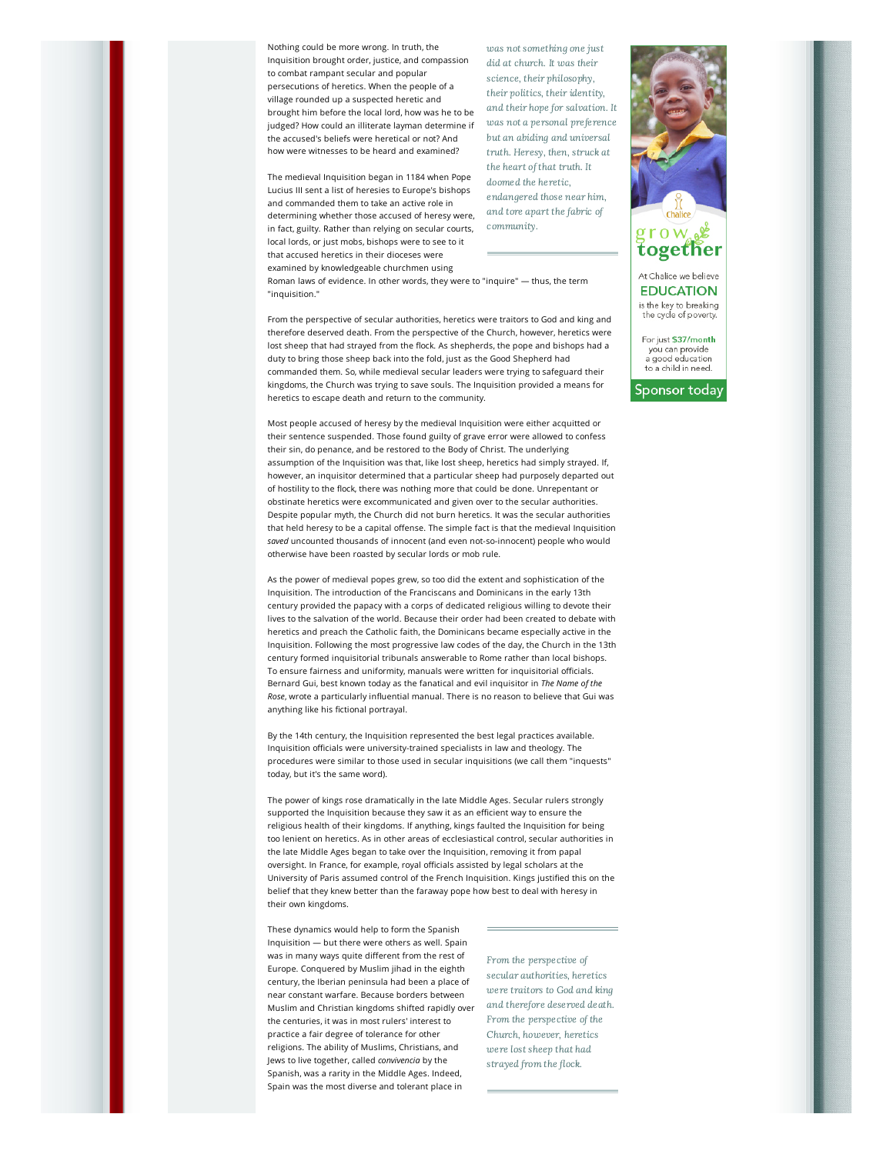Nothing could be more wrong. In truth, the Inquisition brought order, justice, and compassion to combat rampant secular and popular persecutions of heretics. When the people of a village rounded up a suspected heretic and brought him before the local lord, how was he to be judged? How could an illiterate layman determine if the accused's beliefs were heretical or not? And how were witnesses to be heard and examined?

The medieval Inquisition began in 1184 when Pope Lucius III sent a list of heresies to Europe's bishops and commanded them to take an active role in determining whether those accused of heresy were, in fact, guilty. Rather than relying on secular courts, local lords, or just mobs, bishops were to see to it that accused heretics in their dioceses were examined by knowledgeable churchmen using

was not something one just did at church. It was their science, their philosophy, their politics, their identity, and their hope for salvation. It was not a personal preference but an abiding and universal truth. Heresy, then, struck at the heart of that truth. It doomed the heretic, endangered those near him, and tore apart the fabric of community.

Roman laws of evidence. In other words, they were to "inquire" — thus, the term "inquisition."

From the perspective of secular authorities, heretics were traitors to God and king and therefore deserved death. From the perspective of the Church, however, heretics were lost sheep that had strayed from the flock. As shepherds, the pope and bishops had a duty to bring those sheep back into the fold, just as the Good Shepherd had commanded them. So, while medieval secular leaders were trying to safeguard their kingdoms, the Church was trying to save souls. The Inquisition provided a means for heretics to escape death and return to the community.

Most people accused of heresy by the medieval Inquisition were either acquitted or their sentence suspended. Those found guilty of grave error were allowed to confess their sin, do penance, and be restored to the Body of Christ. The underlying assumption of the Inquisition was that, like lost sheep, heretics had simply strayed. If, however, an inquisitor determined that a particular sheep had purposely departed out of hostility to the flock, there was nothing more that could be done. Unrepentant or obstinate heretics were excommunicated and given over to the secular authorities. Despite popular myth, the Church did not burn heretics. It was the secular authorities that held heresy to be a capital offense. The simple fact is that the medieval Inquisition *saved* uncounted thousands of innocent (and even not-so-innocent) people who would otherwise have been roasted by secular lords or mob rule.

As the power of medieval popes grew, so too did the extent and sophistication of the Inquisition. The introduction of the Franciscans and Dominicans in the early 13th century provided the papacy with a corps of dedicated religious willing to devote their lives to the salvation of the world. Because their order had been created to debate with heretics and preach the Catholic faith, the Dominicans became especially active in the Inquisition. Following the most progressive law codes of the day, the Church in the 13th century formed inquisitorial tribunals answerable to Rome rather than local bishops. To ensure fairness and uniformity, manuals were written for inquisitorial officials. Bernard Gui, best known today as the fanatical and evil inquisitor in *The Name of the* Rose, wrote a particularly influential manual. There is no reason to believe that Gui was anything like his fictional portrayal.

By the 14th century, the Inquisition represented the best legal practices available. Inquisition officials were university-trained specialists in law and theology. The procedures were similar to those used in secular inquisitions (we call them "inquests" today, but it's the same word).

The power of kings rose dramatically in the late Middle Ages. Secular rulers strongly supported the Inquisition because they saw it as an efficient way to ensure the religious health of their kingdoms. If anything, kings faulted the Inquisition for being too lenient on heretics. As in other areas of ecclesiastical control, secular authorities in the late Middle Ages began to take over the Inquisition, removing it from papal oversight. In France, for example, royal officials assisted by legal scholars at the University of Paris assumed control of the French Inquisition. Kings justified this on the belief that they knew better than the faraway pope how best to deal with heresy in their own kingdoms.

These dynamics would help to form the Spanish Inquisition — but there were others as well. Spain was in many ways quite different from the rest of Europe. Conquered by Muslim jihad in the eighth century, the Iberian peninsula had been a place of near constant warfare. Because borders between Muslim and Christian kingdoms shifted rapidly over the centuries, it was in most rulers' interest to practice a fair degree of tolerance for other religions. The ability of Muslims, Christians, and Jews to live together, called *convivencia* by the Spanish, was a rarity in the Middle Ages. Indeed, Spain was the most diverse and tolerant place in

From the perspective of secular authorities, heretics were traitors to God and king and therefore deserved death. From the perspective of the Church, however, heretics were lost sheep that had strayed from the flock.

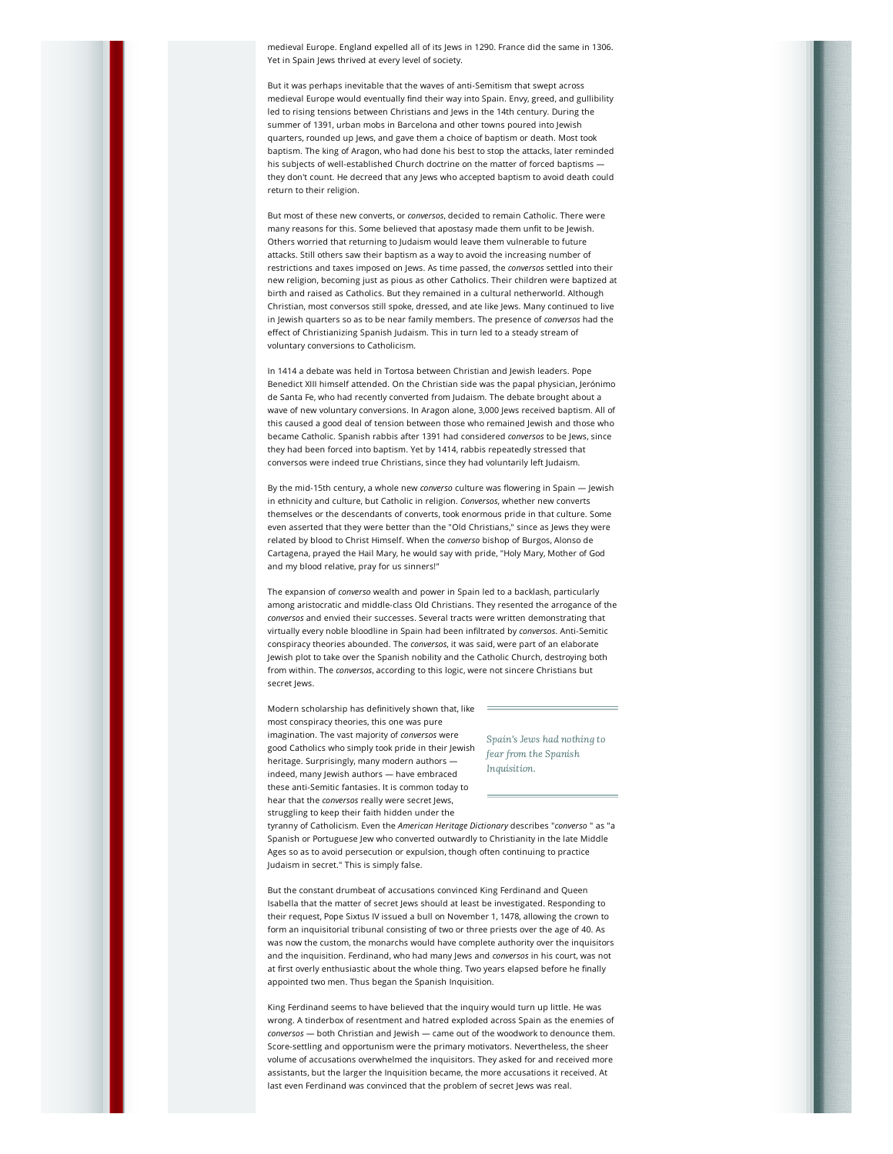medieval Europe. England expelled all of its Jews in 1290. France did the same in 1306. Yet in Spain Jews thrived at every level of society.

But it was perhaps inevitable that the waves of anti-Semitism that swept across medieval Europe would eventually find their way into Spain. Envy, greed, and gullibility led to rising tensions between Christians and Jews in the 14th century. During the summer of 1391, urban mobs in Barcelona and other towns poured into Jewish quarters, rounded up Jews, and gave them a choice of baptism or death. Most took baptism. The king of Aragon, who had done his best to stop the attacks, later reminded his subjects of well-established Church doctrine on the matter of forced baptisms they don't count. He decreed that any Jews who accepted baptism to avoid death could return to their religion.

But most of these new converts, or *conversos*, decided to remain Catholic. There were many reasons for this. Some believed that apostasy made them unfit to be lewish. Others worried that returning to Judaism would leave them vulnerable to future attacks. Still others saw their baptism as a way to avoid the increasing number of restrictions and taxes imposed on Jews. As time passed, the *conversos* settled into their new religion, becoming just as pious as other Catholics. Their children were baptized at birth and raised as Catholics. But they remained in a cultural netherworld. Although Christian, most conversos still spoke, dressed, and ate like Jews. Many continued to live in Jewish quarters so as to be near family members. The presence of *conversos* had the effect of Christianizing Spanish Judaism. This in turn led to a steady stream of voluntary conversions to Catholicism.

In 1414 a debate was held in Tortosa between Christian and Jewish leaders. Pope Benedict XIII himself attended. On the Christian side was the papal physician, Jerónimo de Santa Fe, who had recently converted from Judaism. The debate brought about a wave of new voluntary conversions. In Aragon alone, 3,000 Jews received baptism. All of this caused a good deal of tension between those who remained Jewish and those who became Catholic. Spanish rabbis after 1391 had considered *conversos* to be Jews, since they had been forced into baptism. Yet by 1414, rabbis repeatedly stressed that conversos were indeed true Christians, since they had voluntarily left Judaism.

By the mid-15th century, a whole new *converso* culture was flowering in Spain - Jewish in ethnicity and culture, but Catholic in religion. *Conversos*, whether new converts themselves or the descendants of converts, took enormous pride in that culture. Some even asserted that they were better than the "Old Christians," since as Jews they were related by blood to Christ Himself. When the *converso* bishop of Burgos, Alonso de Cartagena, prayed the Hail Mary, he would say with pride, "Holy Mary, Mother of God and my blood relative, pray for us sinners!"

The expansion of *converso* wealth and power in Spain led to a backlash, particularly among aristocratic and middle-class Old Christians. They resented the arrogance of the *conversos* and envied their successes. Several tracts were written demonstrating that virtually every noble bloodline in Spain had been infiltrated by *conversos*. Anti-Semitic conspiracy theories abounded. The *conversos*, it was said, were part of an elaborate Jewish plot to take over the Spanish nobility and the Catholic Church, destroying both from within. The *conversos*, according to this logic, were not sincere Christians but secret lews.

Modern scholarship has definitively shown that, like most conspiracy theories, this one was pure imagination. The vast majority of *conversos* were good Catholics who simply took pride in their Jewish heritage. Surprisingly, many modern authors indeed, many Jewish authors — have embraced these anti-Semitic fantasies. It is common today to hear that the *conversos* really were secret Jews, struggling to keep their faith hidden under the

Spain's Jews had nothing to fear from the Spanish Inquisition.

tyranny of Catholicism. Even the *American Heritage Dictionary* describes "*converso* " as "a Spanish or Portuguese Jew who converted outwardly to Christianity in the late Middle Ages so as to avoid persecution or expulsion, though often continuing to practice Judaism in secret." This is simply false.

But the constant drumbeat of accusations convinced King Ferdinand and Queen Isabella that the matter of secret Jews should at least be investigated. Responding to their request, Pope Sixtus IV issued a bull on November 1, 1478, allowing the crown to form an inquisitorial tribunal consisting of two or three priests over the age of 40. As was now the custom, the monarchs would have complete authority over the inquisitors and the inquisition. Ferdinand, who had many Jews and *conversos* in his court, was not at first overly enthusiastic about the whole thing. Two years elapsed before he finally appointed two men. Thus began the Spanish Inquisition.

King Ferdinand seems to have believed that the inquiry would turn up little. He was wrong. A tinderbox of resentment and hatred exploded across Spain as the enemies of *conversos* — both Christian and Jewish — came out of the woodwork to denounce them. Score-settling and opportunism were the primary motivators. Nevertheless, the sheer volume of accusations overwhelmed the inquisitors. They asked for and received more assistants, but the larger the Inquisition became, the more accusations it received. At last even Ferdinand was convinced that the problem of secret Jews was real.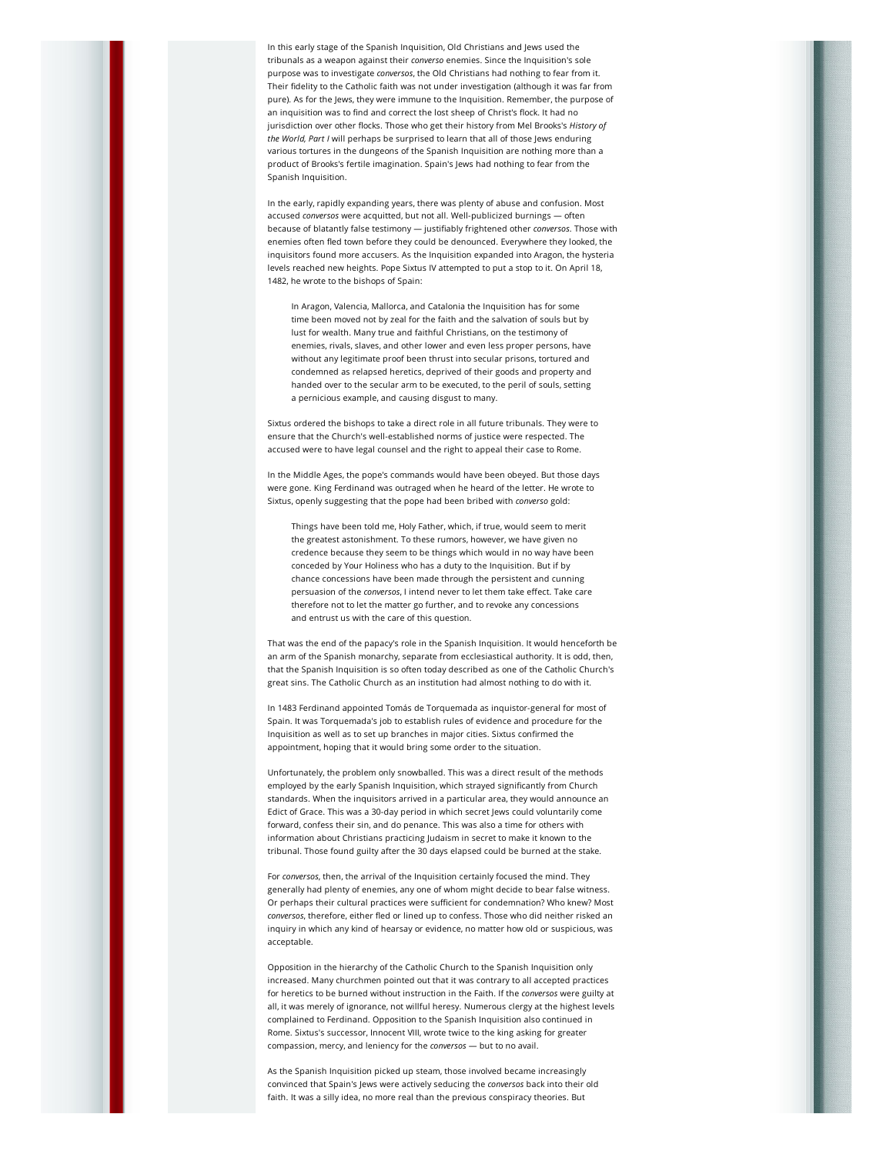In this early stage of the Spanish Inquisition, Old Christians and Jews used the tribunals as a weapon against their *converso* enemies. Since the Inquisition's sole purpose was to investigate *conversos*, the Old Christians had nothing to fear from it. Their fidelity to the Catholic faith was not under investigation (although it was far from pure). As for the Jews, they were immune to the Inquisition. Remember, the purpose of an inquisition was to find and correct the lost sheep of Christ's flock. It had no jurisdiction over other flocks. Those who get their history from Mel Brooks's History of *the World, Part I* will perhaps be surprised to learn that all of those Jews enduring various tortures in the dungeons of the Spanish Inquisition are nothing more than a product of Brooks's fertile imagination. Spain's Jews had nothing to fear from the Spanish Inquisition.

In the early, rapidly expanding years, there was plenty of abuse and confusion. Most accused *conversos* were acquitted, but not all. Well-publicized burnings — often because of blatantly false testimony — justiably frightened other *conversos*. Those with enemies often fled town before they could be denounced. Everywhere they looked, the inquisitors found more accusers. As the Inquisition expanded into Aragon, the hysteria levels reached new heights. Pope Sixtus IV attempted to put a stop to it. On April 18, 1482, he wrote to the bishops of Spain:

In Aragon, Valencia, Mallorca, and Catalonia the Inquisition has for some time been moved not by zeal for the faith and the salvation of souls but by lust for wealth. Many true and faithful Christians, on the testimony of enemies, rivals, slaves, and other lower and even less proper persons, have without any legitimate proof been thrust into secular prisons, tortured and condemned as relapsed heretics, deprived of their goods and property and handed over to the secular arm to be executed, to the peril of souls, setting a pernicious example, and causing disgust to many.

Sixtus ordered the bishops to take a direct role in all future tribunals. They were to ensure that the Church's well-established norms of justice were respected. The accused were to have legal counsel and the right to appeal their case to Rome.

In the Middle Ages, the pope's commands would have been obeyed. But those days were gone. King Ferdinand was outraged when he heard of the letter. He wrote to Sixtus, openly suggesting that the pope had been bribed with *converso* gold:

Things have been told me, Holy Father, which, if true, would seem to merit the greatest astonishment. To these rumors, however, we have given no credence because they seem to be things which would in no way have been conceded by Your Holiness who has a duty to the Inquisition. But if by chance concessions have been made through the persistent and cunning persuasion of the *conversos*, I intend never to let them take effect. Take care therefore not to let the matter go further, and to revoke any concessions and entrust us with the care of this question.

That was the end of the papacy's role in the Spanish Inquisition. It would henceforth be an arm of the Spanish monarchy, separate from ecclesiastical authority. It is odd, then, that the Spanish Inquisition is so often today described as one of the Catholic Church's great sins. The Catholic Church as an institution had almost nothing to do with it.

In 1483 Ferdinand appointed Tomás de Torquemada as inquistor-general for most of Spain. It was Torquemada's job to establish rules of evidence and procedure for the Inquisition as well as to set up branches in major cities. Sixtus confirmed the appointment, hoping that it would bring some order to the situation.

Unfortunately, the problem only snowballed. This was a direct result of the methods employed by the early Spanish Inquisition, which strayed significantly from Church standards. When the inquisitors arrived in a particular area, they would announce an Edict of Grace. This was a 30-day period in which secret Jews could voluntarily come forward, confess their sin, and do penance. This was also a time for others with information about Christians practicing Judaism in secret to make it known to the tribunal. Those found guilty after the 30 days elapsed could be burned at the stake.

For *conversos*, then, the arrival of the Inquisition certainly focused the mind. They generally had plenty of enemies, any one of whom might decide to bear false witness. Or perhaps their cultural practices were sufficient for condemnation? Who knew? Most *conversos*, therefore, either fled or lined up to confess. Those who did neither risked an inquiry in which any kind of hearsay or evidence, no matter how old or suspicious, was acceptable.

Opposition in the hierarchy of the Catholic Church to the Spanish Inquisition only increased. Many churchmen pointed out that it was contrary to all accepted practices for heretics to be burned without instruction in the Faith. If the *conversos* were guilty at all, it was merely of ignorance, not willful heresy. Numerous clergy at the highest levels complained to Ferdinand. Opposition to the Spanish Inquisition also continued in Rome. Sixtus's successor, Innocent VIII, wrote twice to the king asking for greater compassion, mercy, and leniency for the *conversos* — but to no avail.

As the Spanish Inquisition picked up steam, those involved became increasingly convinced that Spain's Jews were actively seducing the *conversos* back into their old faith. It was a silly idea, no more real than the previous conspiracy theories. But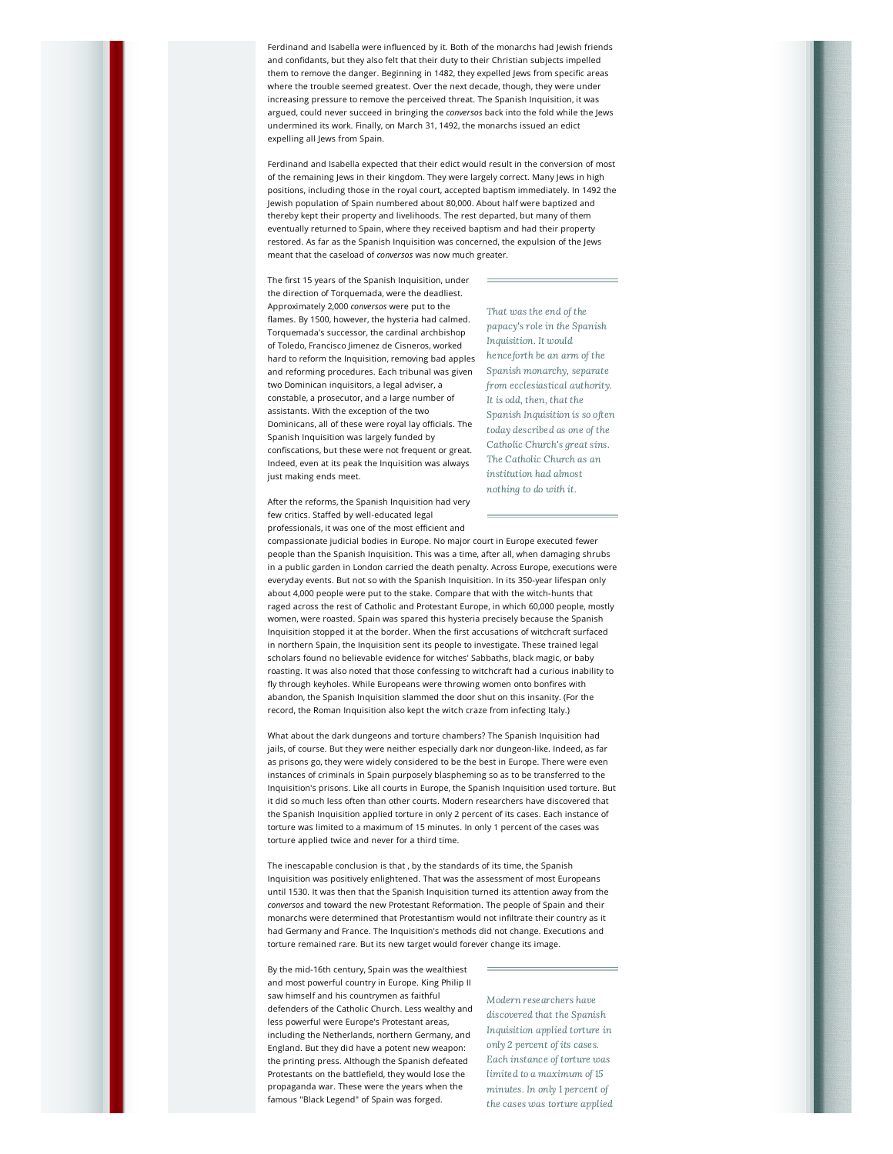Ferdinand and Isabella were influenced by it. Both of the monarchs had Jewish friends and confidants, but they also felt that their duty to their Christian subjects impelled them to remove the danger. Beginning in 1482, they expelled Jews from specific areas where the trouble seemed greatest. Over the next decade, though, they were under increasing pressure to remove the perceived threat. The Spanish Inquisition, it was argued, could never succeed in bringing the *conversos* back into the fold while the Jews undermined its work. Finally, on March 31, 1492, the monarchs issued an edict expelling all Jews from Spain.

Ferdinand and Isabella expected that their edict would result in the conversion of most of the remaining Jews in their kingdom. They were largely correct. Many Jews in high positions, including those in the royal court, accepted baptism immediately. In 1492 the Jewish population of Spain numbered about 80,000. About half were baptized and thereby kept their property and livelihoods. The rest departed, but many of them eventually returned to Spain, where they received baptism and had their property restored. As far as the Spanish Inquisition was concerned, the expulsion of the Jews meant that the caseload of *conversos* was now much greater.

The first 15 years of the Spanish Inquisition, under the direction of Torquemada, were the deadliest. Approximately 2,000 *conversos* were put to the flames. By 1500, however, the hysteria had calmed. Torquemada's successor, the cardinal archbishop of Toledo, Francisco Jimenez de Cisneros, worked hard to reform the Inquisition, removing bad apples and reforming procedures. Each tribunal was given two Dominican inquisitors, a legal adviser, a constable, a prosecutor, and a large number of assistants. With the exception of the two Dominicans, all of these were royal lay officials. The Spanish Inquisition was largely funded by confiscations, but these were not frequent or great. Indeed, even at its peak the Inquisition was always just making ends meet.

That was the end of the papacy's role in the Spanish Inquisition. It would henceforth be an arm of the Spanish monarchy, separate from ecclesiastical authority. It is odd, then, that the Spanish Inquisition is so often today described as one of the Catholic Church's great sins. The Catholic Church as an institution had almost nothing to do with it.

After the reforms, the Spanish Inquisition had very few critics. Staffed by well-educated legal professionals, it was one of the most efficient and

compassionate judicial bodies in Europe. No major court in Europe executed fewer people than the Spanish Inquisition. This was a time, after all, when damaging shrubs in a public garden in London carried the death penalty. Across Europe, executions were everyday events. But not so with the Spanish Inquisition. In its 350-year lifespan only about 4,000 people were put to the stake. Compare that with the witch-hunts that raged across the rest of Catholic and Protestant Europe, in which 60,000 people, mostly women, were roasted. Spain was spared this hysteria precisely because the Spanish Inquisition stopped it at the border. When the first accusations of witchcraft surfaced in northern Spain, the Inquisition sent its people to investigate. These trained legal scholars found no believable evidence for witches' Sabbaths, black magic, or baby roasting. It was also noted that those confessing to witchcraft had a curious inability to fly through keyholes. While Europeans were throwing women onto bonfires with abandon, the Spanish Inquisition slammed the door shut on this insanity. (For the record, the Roman Inquisition also kept the witch craze from infecting Italy.)

What about the dark dungeons and torture chambers? The Spanish Inquisition had jails, of course. But they were neither especially dark nor dungeon-like. Indeed, as far as prisons go, they were widely considered to be the best in Europe. There were even instances of criminals in Spain purposely blaspheming so as to be transferred to the Inquisition's prisons. Like all courts in Europe, the Spanish Inquisition used torture. But it did so much less often than other courts. Modern researchers have discovered that the Spanish Inquisition applied torture in only 2 percent of its cases. Each instance of torture was limited to a maximum of 15 minutes. In only 1 percent of the cases was torture applied twice and never for a third time.

The inescapable conclusion is that , by the standards of its time, the Spanish Inquisition was positively enlightened. That was the assessment of most Europeans until 1530. It was then that the Spanish Inquisition turned its attention away from the *conversos* and toward the new Protestant Reformation. The people of Spain and their monarchs were determined that Protestantism would not infiltrate their country as it had Germany and France. The Inquisition's methods did not change. Executions and torture remained rare. But its new target would forever change its image.

By the mid-16th century, Spain was the wealthiest and most powerful country in Europe. King Philip II saw himself and his countrymen as faithful defenders of the Catholic Church. Less wealthy and less powerful were Europe's Protestant areas, including the Netherlands, northern Germany, and England. But they did have a potent new weapon: the printing press. Although the Spanish defeated Protestants on the battlefield, they would lose the propaganda war. These were the years when the famous "Black Legend" of Spain was forged.

Modern researchers have discovered that the Spanish Inquisition applied torture in only 2 percent of its cases. Each instance of torture was limited to a maximum of 15 minutes. In only 1 percent of the cases was torture applied